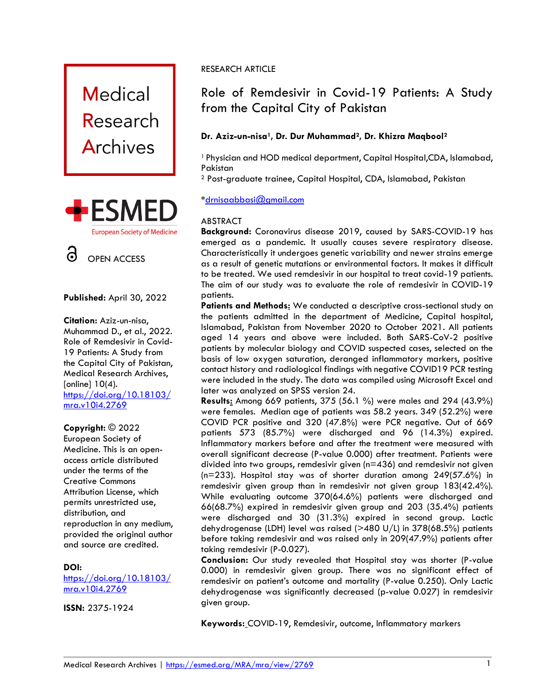





#### **Published:** April 30, 2022

**Citation:** Aziz-un-nisa, Muhammad D., et al., 2022. Role of Remdesivir in Covid-19 Patients: A Study from the Capital City of Pakistan, Medical Research Archives, [online] 10(4). [https://doi.org/10.18103/](https://doi.org/10.18103/mra.v10i4.2769) [mra.v10i4.27](https://doi.org/10.18103/mra.v10i4.2769)69

#### **Copyright:** © 2022

European Society of Medicine. This is an openaccess article distributed under the terms of the Creative Commons Attribution License, which permits unrestricted use, distribution, and reproduction in any medium, provided the original author and source are credited.

## **DOI:**

[https://doi.org/10.18103/](https://doi.org/10.18103/mra.v10i4.2769) [mra.v10i4.2769](https://doi.org/10.18103/mra.v10i4.2769)

**ISSN:** 2375-1924

# RESEARCH ARTICLE

# Role of Remdesivir in Covid-19 Patients: A Study from the Capital City of Pakistan

# **Dr. Aziz-un-nisa1, Dr. Dur Muhammad2, Dr. Khizra Maqbool<sup>2</sup>**

<sup>1</sup> Physician and HOD medical department, Capital Hospital,CDA, Islamabad, Pakistan

<sup>2</sup> Post-graduate trainee, Capital Hospital, CDA, Islamabad, Pakistan

## **\***[drnisaabbasi@gmail.com](mailto:drnisaabbasi@gmail.com)

## ABSTRACT

**Background:** Coronavirus disease 2019, caused by SARS-COVID-19 has emerged as a pandemic. It usually causes severe respiratory disease. Characteristically it undergoes genetic variability and newer strains emerge as a result of genetic mutations or environmental factors. It makes it difficult to be treated. We used remdesivir in our hospital to treat covid-19 patients. The aim of our study was to evaluate the role of remdesivir in COVID-19 patients.

Patients and Methods: We conducted a descriptive cross-sectional study on the patients admitted in the department of Medicine, Capital hospital, Islamabad, Pakistan from November 2020 to October 2021. All patients aged 14 years and above were included. Both SARS-CoV-2 positive patients by molecular biology and COVID suspected cases, selected on the basis of low oxygen saturation, deranged inflammatory markers, positive contact history and radiological findings with negative COVID19 PCR testing were included in the study. The data was compiled using Microsoft Excel and later was analyzed on SPSS version 24.

**Results:** Among 669 patients, 375 (56.1 %) were males and 294 (43.9%) were females. Median age of patients was 58.2 years. 349 (52.2%) were COVID PCR positive and 320 (47.8%) were PCR negative. Out of 669 patients 573 (85.7%) were discharged and 96 (14.3%) expired. Inflammatory markers before and after the treatment were measured with overall significant decrease (P-value 0.000) after treatment. Patients were divided into two groups, remdesivir given (n=436) and remdesivir not given (n=233). Hospital stay was of shorter duration among 249(57.6%) in remdesivir given group than in remdesivir not given group 183(42.4%). While evaluating outcome 370(64.6%) patients were discharged and 66(68.7%) expired in remdesivir given group and 203 (35.4%) patients were discharged and 30 (31.3%) expired in second group. Lactic dehydrogenase (LDH) level was raised (>480 U/L) in 378(68.5%) patients before taking remdesivir and was raised only in 209(47.9%) patients after taking remdesivir (P-0.027).

**Conclusion:** Our study revealed that Hospital stay was shorter (P-value 0.000) in remdesivir given group. There was no significant effect of remdesivir on patient's outcome and mortality (P-value 0.250). Only Lactic dehydrogenase was significantly decreased (p-value 0.027) in remdesivir given group.

**Keywords:** COVID-19, Remdesivir, outcome, Inflammatory markers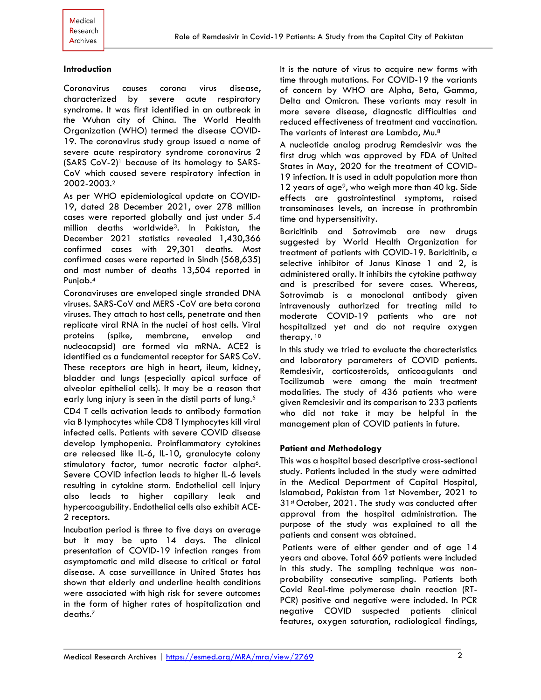#### **Introduction**

Coronavirus causes corona virus disease, characterized by severe acute respiratory syndrome. It was first identified in an outbreak in the Wuhan city of China. The World Health Organization (WHO) termed the disease COVID-19. The coronavirus study group issued a name of severe acute respiratory syndrome coronavirus 2 (SARS CoV-2)<sup>1</sup> because of its homology to SARS-CoV which caused severe respiratory infection in 2002-2003. 2

As per WHO epidemiological update on COVID-19, dated 28 December 2021, over 278 million cases were reported globally and just under 5.4 million deaths worldwide3. In Pakistan, the December 2021 statistics revealed 1,430,366 confirmed cases with 29,301 deaths. Most confirmed cases were reported in Sindh (568,635) and most number of deaths 13,504 reported in Punjab.<sup>4</sup>

Coronaviruses are enveloped single stranded DNA viruses. SARS-CoV and MERS -CoV are beta corona viruses. They attach to host cells, penetrate and then replicate viral RNA in the nuclei of host cells. Viral proteins (spike, membrane, envelop and nucleocapsid) are formed via mRNA. ACE2 is identified as a fundamental receptor for SARS CoV. These receptors are high in heart, ileum, kidney, bladder and lungs (especially apical surface of alveolar epithelial cells). It may be a reason that early lung injury is seen in the distil parts of lung.<sup>5</sup>

CD4 T cells activation leads to antibody formation via B lymphocytes while CD8 T lymphocytes kill viral infected cells. Patients with severe COVID disease develop lymphopenia. Proinflammatory cytokines are released like IL-6, IL-10, granulocyte colony stimulatory factor, tumor necrotic factor alpha<sup>6</sup>. Severe COVID infection leads to higher IL-6 levels resulting in cytokine storm. Endothelial cell injury also leads to higher capillary leak and hypercoagubility. Endothelial cells also exhibit ACE-2 receptors.

Incubation period is three to five days on average but it may be upto 14 days. The clinical presentation of COVID-19 infection ranges from asymptomatic and mild disease to critical or fatal disease. A case surveillance in United States has shown that elderly and underline health conditions were associated with high risk for severe outcomes in the form of higher rates of hospitalization and deaths. 7

It is the nature of virus to acquire new forms with time through mutations. For COVID-19 the variants of concern by WHO are Alpha, Beta, Gamma, Delta and Omicron. These variants may result in more severe disease, diagnostic difficulties and reduced effectiveness of treatment and vaccination. The variants of interest are Lambda, Mu.<sup>8</sup>

A nucleotide analog prodrug Remdesivir was the first drug which was approved by FDA of United States in May, 2020 for the treatment of COVID-19 infection. It is used in adult population more than 12 years of age<sup>9</sup>, who weigh more than 40 kg. Side effects are gastrointestinal symptoms, raised transaminases levels, an increase in prothrombin time and hypersensitivity.

Baricitinib and Sotrovimab are new drugs suggested by World Health Organization for treatment of patients with COVID-19. Baricitinib, a selective inhibitor of Janus Kinase 1 and 2, is administered orally. It inhibits the cytokine pathway and is prescribed for severe cases. Whereas, Sotrovimab is a monoclonal antibody given intravenously authorized for treating mild to moderate COVID-19 patients who are not hospitalized yet and do not require oxygen therapy.<sup>10</sup>

In this study we tried to evaluate the charecteristics and laboratory parameters of COVID patients. Remdesivir, corticosteroids, anticoagulants and Tocilizumab were among the main treatment modalities. The study of 436 patients who were given Remdesivir and its comparison to 233 patients who did not take it may be helpful in the management plan of COVID patients in future.

#### **Patient and Methodology**

This was a hospital based descriptive cross-sectional study. Patients included in the study were admitted in the Medical Department of Capital Hospital, Islamabad, Pakistan from 1st November, 2021 to 31<sup>st</sup> October, 2021. The study was conducted after approval from the hospital administration. The purpose of the study was explained to all the patients and consent was obtained.

Patients were of either gender and of age 14 years and above. Total 669 patients were included in this study. The sampling technique was nonprobability consecutive sampling. Patients both Covid Real-time polymerase chain reaction (RT-PCR) positive and negative were included. In PCR negative COVID suspected patients clinical features, oxygen saturation, radiological findings,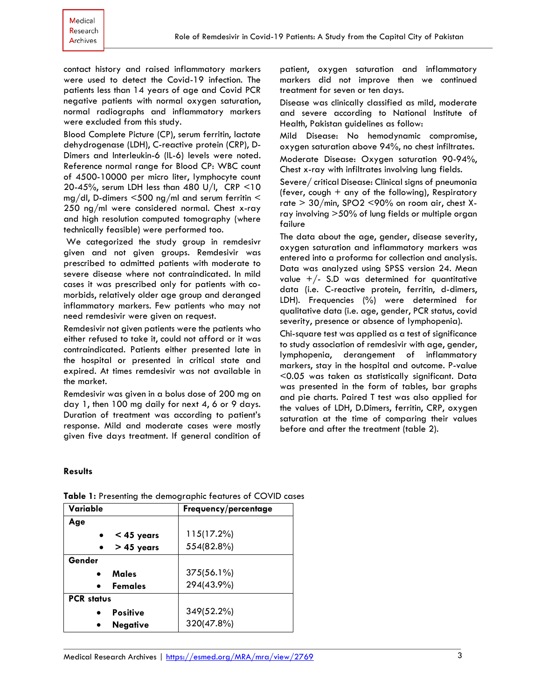contact history and raised inflammatory markers were used to detect the Covid-19 infection. The patients less than 14 years of age and Covid PCR negative patients with normal oxygen saturation, normal radiographs and inflammatory markers were excluded from this study.

Blood Complete Picture (CP), serum ferritin, lactate dehydrogenase (LDH), C-reactive protein (CRP), D-Dimers and Interleukin-6 (IL-6) levels were noted. Reference normal range for Blood CP: WBC count of 4500-10000 per micro liter, lymphocyte count 20-45%, serum LDH less than 480 U/I, CRP <10 mg/dl, D-dimers <500 ng/ml and serum ferritin < 250 ng/ml were considered normal. Chest x-ray and high resolution computed tomography (where technically feasible) were performed too.

We categorized the study group in remdesivr given and not given groups. Remdesivir was prescribed to admitted patients with moderate to severe disease where not contraindicated. In mild cases it was prescribed only for patients with comorbids, relatively older age group and deranged inflammatory markers. Few patients who may not need remdesivir were given on request.

Remdesivir not given patients were the patients who either refused to take it, could not afford or it was contraindicated. Patients either presented late in the hospital or presented in critical state and expired. At times remdesivir was not available in the market.

Remdesivir was given in a bolus dose of 200 mg on day 1, then 100 mg daily for next 4, 6 or 9 days. Duration of treatment was according to patient's response. Mild and moderate cases were mostly given five days treatment. If general condition of

patient, oxygen saturation and inflammatory markers did not improve then we continued treatment for seven or ten days.

Disease was clinically classified as mild, moderate and severe according to National Institute of Health, Pakistan guidelines as follow:

Mild Disease: No hemodynamic compromise, oxygen saturation above 94%, no chest infiltrates. Moderate Disease: Oxygen saturation 90-94%, Chest x-ray with infiltrates involving lung fields.

Severe/ critical Disease: Clinical signs of pneumonia (fever, cough  $+$  any of the following), Respiratory rate > 30/min, SPO2 <90% on room air, chest Xray involving >50% of lung fields or multiple organ failure

The data about the age, gender, disease severity, oxygen saturation and inflammatory markers was entered into a proforma for collection and analysis. Data was analyzed using SPSS version 24. Mean value  $+/-$  S.D was determined for quantitative data (i.e. C-reactive protein, ferritin, d-dimers, LDH). Frequencies (%) were determined for qualitative data (i.e. age, gender, PCR status, covid severity, presence or absence of lymphopenia).

Chi-square test was applied as a test of significance to study association of remdesivir with age, gender, lymphopenia, derangement of inflammatory markers, stay in the hospital and outcome. P-value <0.05 was taken as statistically significant. Data was presented in the form of tables, bar graphs and pie charts. Paired T test was also applied for the values of LDH, D.Dimers, ferritin, CRP, oxygen saturation at the time of comparing their values before and after the treatment (table 2).

#### **Results**

| Variable                    | Frequency/percentage |
|-----------------------------|----------------------|
| Age                         |                      |
| $<$ 45 years                | 115(17.2%)           |
| $> 45$ years                | 554(82.8%)           |
| Gender                      |                      |
| Males<br>$\bullet$          | 375(56.1%)           |
| <b>Females</b><br>$\bullet$ | 294(43.9%)           |
| <b>PCR</b> status           |                      |
| <b>Positive</b>             | 349(52.2%)           |
| <b>Negative</b>             | 320(47.8%)           |

**Table 1:** Presenting the demographic features of COVID cases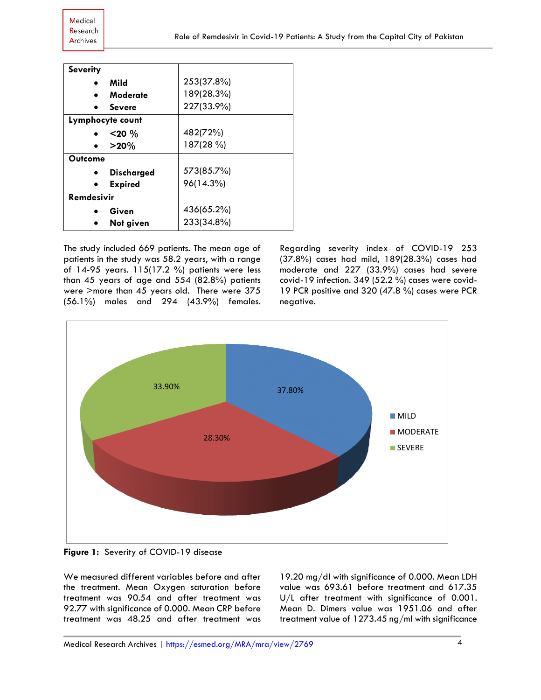| <b>Severity</b>   |                   |            |
|-------------------|-------------------|------------|
|                   | Mild              | 253(37.8%) |
|                   | Moderate          | 189(28.3%) |
|                   | Severe            | 227(33.9%) |
|                   | Lymphocyte count  |            |
|                   | $<$ 20 $\%$       | 482(72%)   |
|                   | $>20\%$           | 187(28 %)  |
| Outcome           |                   |            |
|                   | <b>Discharged</b> | 573(85.7%) |
|                   | <b>Expired</b>    | 96(14.3%)  |
| <b>Remdesivir</b> |                   |            |
|                   | Given             | 436(65.2%) |
|                   | Not given         | 233(34.8%) |

The study included 669 patients. The mean age of patients in the study was 58.2 years, with a range of 14-95 years. 115(17.2 %) patients were less than 45 years of age and 554 (82.8%) patients were >more than 45 years old. There were 375 (56.1%) males and 294 (43.9%) females. Regarding severity index of COVID-19 253 (37.8%) cases had mild, 189(28.3%) cases had moderate and 227 (33.9%) cases had severe covid-19 infection. 349 (52.2 %) cases were covid-19 PCR positive and 320 (47.8 %) cases were PCR negative.



**Figure 1:** Severity of COVID-19 disease

We measured different variables before and after the treatment. Mean Oxygen saturation before treatment was 90.54 and after treatment was 92.77 with significance of 0.000. Mean CRP before treatment was 48.25 and after treatment was

19.20 mg/dl with significance of 0.000. Mean LDH value was 693.61 before treatment and 617.35 U/L after treatment with significance of 0.001. Mean D. Dimers value was 1951.06 and after treatment value of 1273.45 ng/ml with significance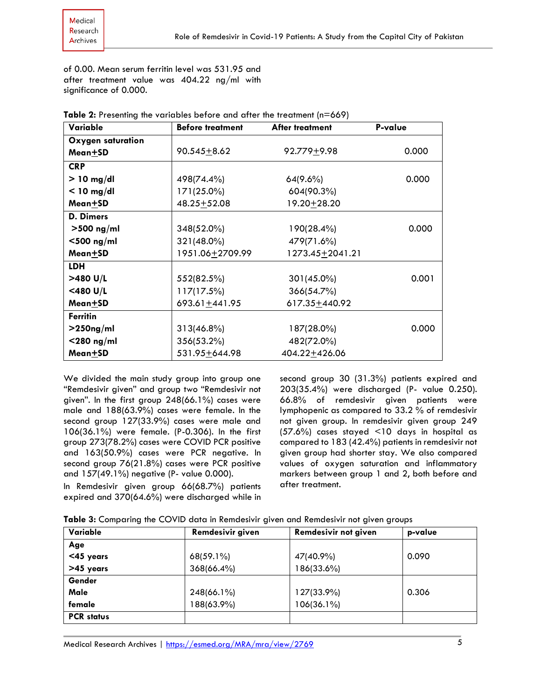of 0.00. Mean serum ferritin level was 531.95 and after treatment value was 404.22 ng/ml with significance of 0.000.

| Variable          | <b>Before treatment</b> | After treatment   | P-value |
|-------------------|-------------------------|-------------------|---------|
| Oxygen saturation |                         |                   |         |
| Mean+SD           | $90.545 + 8.62$         | $92.779 + 9.98$   | 0.000   |
| <b>CRP</b>        |                         |                   |         |
| $> 10$ mg/dl      | 498(74.4%)              | $64(9.6\%)$       | 0.000   |
| $<$ 10 mg/dl      | 171(25.0%)              | 604(90.3%)        |         |
| Mean±SD           | $48.25 + 52.08$         | 19.20+28.20       |         |
| D. Dimers         |                         |                   |         |
| $>500$ ng/ml      | 348(52.0%)              | 190(28.4%)        | 0.000   |
| $<$ 500 ng/ml     | 321(48.0%)              | 479(71.6%)        |         |
| Mean+SD           | 1951.06±2709.99         | 1273.45 ± 2041.21 |         |
| <b>LDH</b>        |                         |                   |         |
| >480 U/L          | 552(82.5%)              | $301(45.0\%)$     | 0.001   |
| $<$ 480 U/L       | 117(17.5%)              | 366(54.7%)        |         |
| Mean+SD           | $693.61 + 441.95$       | 617.35+440.92     |         |
| <b>Ferritin</b>   |                         |                   |         |
| $>$ 250ng/ml      | $313(46.8\%)$           | 187(28.0%)        | 0.000   |
| $<$ 280 ng/ml     | 356(53.2%)              | 482(72.0%)        |         |
| Mean+SD           | 531.95 + 644.98         | 404.22+426.06     |         |

|  | Table 2: Presenting the variables before and after the treatment (n=669) |  |  |
|--|--------------------------------------------------------------------------|--|--|
|  |                                                                          |  |  |

We divided the main study group into group one "Remdesivir given" and group two "Remdesivir not given". In the first group 248(66.1%) cases were male and 188(63.9%) cases were female. In the second group 127(33.9%) cases were male and 106(36.1%) were female. (P-0.306). In the first group 273(78.2%) cases were COVID PCR positive and 163(50.9%) cases were PCR negative. In second group 76(21.8%) cases were PCR positive and 157(49.1%) negative (P- value 0.000).

In Remdesivir given group 66(68.7%) patients expired and 370(64.6%) were discharged while in

second group 30 (31.3%) patients expired and 203(35.4%) were discharged (P- value 0.250). 66.8% of remdesivir given patients were lymphopenic as compared to 33.2 % of remdesivir not given group. In remdesivir given group 249 (57.6%) cases stayed <10 days in hospital as compared to 183 (42.4%) patients in remdesivir not given group had shorter stay. We also compared values of oxygen saturation and inflammatory markers between group 1 and 2, both before and after treatment.

| Table 3: Comparing the COVID data in Remdesivir given and Remdesivir not given groups |  |  |  |
|---------------------------------------------------------------------------------------|--|--|--|
|---------------------------------------------------------------------------------------|--|--|--|

| Variable          | Remdesivir given | Remdesivir not given | p-value |
|-------------------|------------------|----------------------|---------|
| Age               |                  |                      |         |
| <45 years         | $68(59.1\%)$     | 47(40.9%)            | 0.090   |
| >45 years         | 368(66.4%)       | 186(33.6%)           |         |
| Gender            |                  |                      |         |
| Male              | 248(66.1%)       | 127(33.9%)           | 0.306   |
| female            | 188(63.9%)       | 106(36.1%)           |         |
| <b>PCR</b> status |                  |                      |         |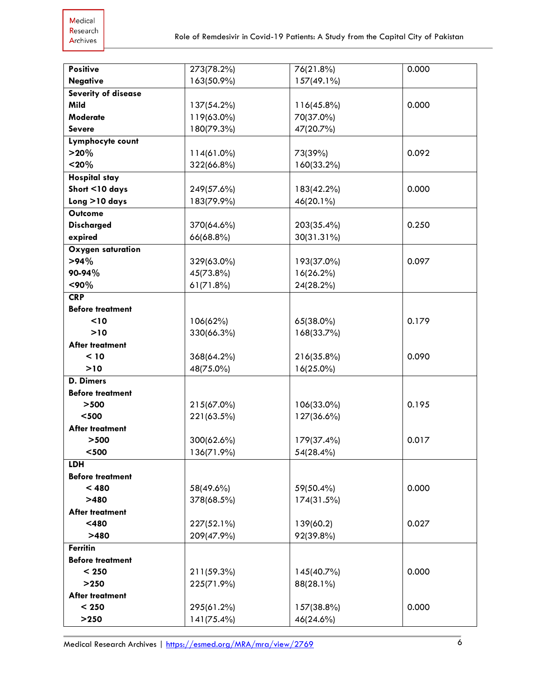| <b>Positive</b>            | 273(78.2%) | 76(21.8%)     | 0.000 |
|----------------------------|------------|---------------|-------|
| <b>Negative</b>            | 163(50.9%) | 157(49.1%)    |       |
|                            |            |               |       |
| <b>Severity of disease</b> |            |               |       |
| Mild                       | 137(54.2%) | $116(45.8\%)$ | 0.000 |
| Moderate                   | 119(63.0%) | 70(37.0%)     |       |
| <b>Severe</b>              | 180(79.3%) | 47(20.7%)     |       |
| Lymphocyte count           |            |               |       |
| $>20\%$                    | 114(61.0%) | 73(39%)       | 0.092 |
| $20%$                      | 322(66.8%) | 160(33.2%)    |       |
| <b>Hospital stay</b>       |            |               |       |
| Short <10 days             | 249(57.6%) | 183(42.2%)    | 0.000 |
| Long >10 days              | 183(79.9%) | 46(20.1%)     |       |
| <b>Outcome</b>             |            |               |       |
| <b>Discharged</b>          | 370(64.6%) | 203(35.4%)    | 0.250 |
| expired                    | 66(68.8%)  | 30(31.31%)    |       |
| Oxygen saturation          |            |               |       |
| $>94\%$                    | 329(63.0%) | 193(37.0%)    | 0.097 |
| 90-94%                     | 45(73.8%)  | $16(26.2\%)$  |       |
| $<$ 90%                    | 61(71.8%)  | 24(28.2%)     |       |
| <b>CRP</b>                 |            |               |       |
|                            |            |               |       |
| <b>Before treatment</b>    |            |               |       |
| $10$                       | 106(62%)   | 65(38.0%)     | 0.179 |
| $>10$                      | 330(66.3%) | 168(33.7%)    |       |
| After treatment            |            |               |       |
| < 10                       | 368(64.2%) | 216(35.8%)    | 0.090 |
| >10                        | 48(75.0%)  | 16(25.0%)     |       |
| D. Dimers                  |            |               |       |
| <b>Before treatment</b>    |            |               |       |
| >500                       | 215(67.0%) | 106(33.0%)    | 0.195 |
| $<$ 500 $\,$               | 221(63.5%) | 127(36.6%)    |       |
| After treatment            |            |               |       |
| >500                       | 300(62.6%) | 179(37.4%)    | 0.017 |
| $<$ 500 $\,$               | 136(71.9%) | 54(28.4%)     |       |
| <b>LDH</b>                 |            |               |       |
| <b>Before treatment</b>    |            |               |       |
| < 480                      | 58(49.6%)  | 59(50.4%)     | 0.000 |
| >480                       | 378(68.5%) | 174(31.5%)    |       |
| After treatment            |            |               |       |
| $<$ 480                    | 227(52.1%) | 139(60.2)     | 0.027 |
| >480                       | 209(47.9%) | 92(39.8%)     |       |
| <b>Ferritin</b>            |            |               |       |
| <b>Before treatment</b>    |            |               |       |
| < 250                      | 211(59.3%) | 145(40.7%)    | 0.000 |
| >250                       | 225(71.9%) | 88(28.1%)     |       |
| After treatment            |            |               |       |
|                            |            |               | 0.000 |
| < 250                      | 295(61.2%) | 157(38.8%)    |       |
| $>250$                     | 141(75.4%) | 46(24.6%)     |       |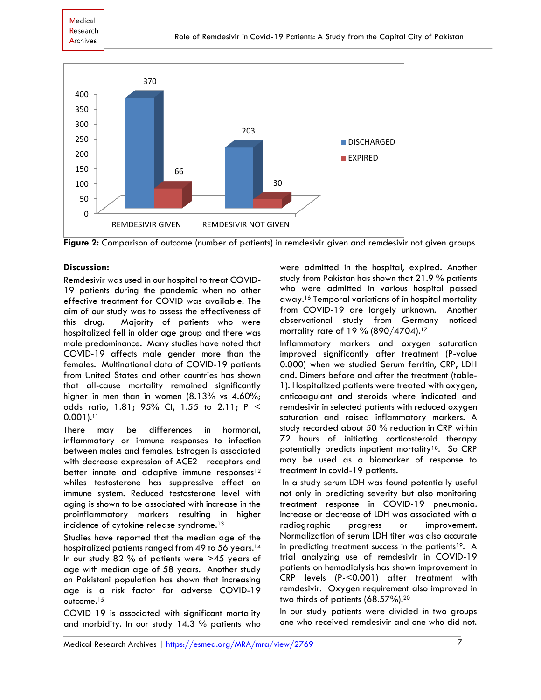

**Figure 2:** Comparison of outcome (number of patients) in remdesivir given and remdesivir not given groups

## **Discussion:**

Remdesivir was used in our hospital to treat COVID-19 patients during the pandemic when no other effective treatment for COVID was available. The aim of our study was to assess the effectiveness of this drug. Majority of patients who were hospitalized fell in older age group and there was male predominance. Many studies have noted that COVID-19 affects male gender more than the females. Multinational data of COVID-19 patients from United States and other countries has shown that all-cause mortality remained significantly higher in men than in women (8.13% vs 4.60%; odds ratio, 1.81; 95% CI, 1.55 to 2.11; P < 0.001). 11

There may be differences in hormonal, inflammatory or immune responses to infection between males and females. Estrogen is associated with decrease expression of ACE2 receptors and better innate and adaptive immune responses<sup>12</sup> whiles testosterone has suppressive effect on immune system. Reduced testosterone level with aging is shown to be associated with increase in the proinflammatory markers resulting in higher incidence of cytokine release syndrome. 13

Studies have reported that the median age of the hospitalized patients ranged from 49 to 56 years. 14 In our study 82 % of patients were >45 years of age with median age of 58 years. Another study on Pakistani population has shown that increasing age is a risk factor for adverse COVID-19 outcome.<sup>15</sup>

COVID 19 is associated with significant mortality and morbidity. In our study 14.3 % patients who were admitted in the hospital, expired. Another study from Pakistan has shown that 21.9 % patients who were admitted in various hospital passed away. <sup>16</sup> Temporal variations of in hospital mortality from COVID-19 are largely unknown. Another observational study from Germany noticed mortality rate of 19 % (890/4704). 17

Inflammatory markers and oxygen saturation improved significantly after treatment (P-value 0.000) when we studied Serum ferritin, CRP, LDH and. Dimers before and after the treatment (table-1). Hospitalized patients were treated with oxygen, anticoagulant and steroids where indicated and remdesivir in selected patients with reduced oxygen saturation and raised inflammatory markers. A study recorded about 50 % reduction in CRP within 72 hours of initiating corticosteroid therapy potentially predicts inpatient mortality<sup>18</sup>. So CRP may be used as a biomarker of response to treatment in covid-19 patients.

In a study serum LDH was found potentially useful not only in predicting severity but also monitoring treatment response in COVID-19 pneumonia. Increase or decrease of LDH was associated with a radiographic progress or improvement. Normalization of serum LDH titer was also accurate in predicting treatment success in the patients<sup>19</sup>. A trial analyzing use of remdesivir in COVID-19 patients on hemodialysis has shown improvement in CRP levels (P-<0.001) after treatment with remdesivir. Oxygen requirement also improved in two thirds of patients (68.57%). 20

In our study patients were divided in two groups one who received remdesivir and one who did not.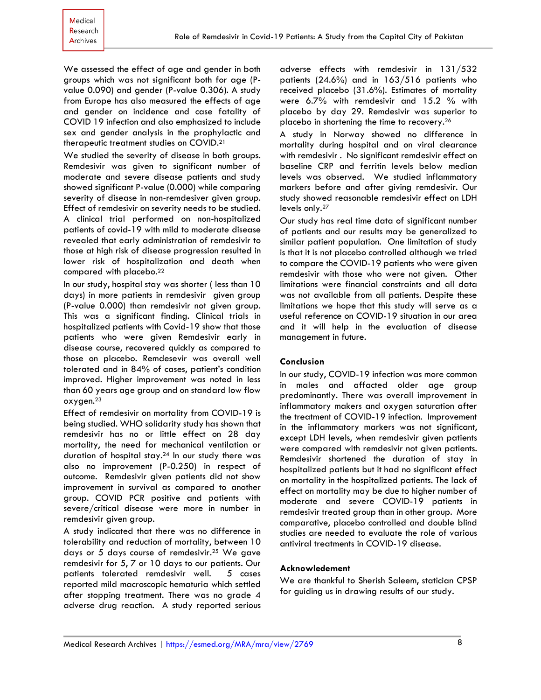We assessed the effect of age and gender in both groups which was not significant both for age (Pvalue 0.090) and gender (P-value 0.306). A study from Europe has also measured the effects of age and gender on incidence and case fatality of COVID 19 infection and also emphasized to include sex and gender analysis in the prophylactic and therapeutic treatment studies on COVID.<sup>21</sup>

We studied the severity of disease in both groups. Remdesivir was given to significant number of moderate and severe disease patients and study showed significant P-value (0.000) while comparing severity of disease in non-remdesiver given group. Effect of remdesivir on severity needs to be studied. A clinical trial performed on non-hospitalized patients of covid-19 with mild to moderate disease revealed that early administration of remdesivir to those at high risk of disease progression resulted in lower risk of hospitalization and death when compared with placebo. 22

In our study, hospital stay was shorter ( less than 10 days) in more patients in remdesivir given group (P-value 0.000) than remdesivir not given group. This was a significant finding. Clinical trials in hospitalized patients with Covid-19 show that those patients who were given Remdesivir early in disease course, recovered quickly as compared to those on placebo. Remdesevir was overall well tolerated and in 84% of cases, patient's condition improved. Higher improvement was noted in less than 60 years age group and on standard low flow oxygen.<sup>23</sup>

Effect of remdesivir on mortality from COVID-19 is being studied. WHO solidarity study has shown that remdesivir has no or little effect on 28 day mortality, the need for mechanical ventilation or duration of hospital stay. <sup>24</sup> In our study there was also no improvement (P-0.250) in respect of outcome. Remdesivir given patients did not show improvement in survival as compared to another group. COVID PCR positive and patients with severe/critical disease were more in number in remdesivir given group.

A study indicated that there was no difference in tolerability and reduction of mortality, between 10 days or 5 days course of remdesivir. <sup>25</sup> We gave remdesivir for 5, 7 or 10 days to our patients. Our patients tolerated remdesivir well. 5 cases reported mild macroscopic hematuria which settled after stopping treatment. There was no grade 4 adverse drug reaction. A study reported serious

adverse effects with remdesivir in 131/532 patients (24.6%) and in 163/516 patients who received placebo (31.6%). Estimates of mortality were 6.7% with remdesivir and 15.2 % with placebo by day 29. Remdesivir was superior to placebo in shortening the time to recovery.<sup>26</sup>

A study in Norway showed no difference in mortality during hospital and on viral clearance with remdesivir . No significant remdesivir effect on baseline CRP and ferritin levels below median levels was observed. We studied inflammatory markers before and after giving remdesivir. Our study showed reasonable remdesivir effect on LDH levels only. 27

Our study has real time data of significant number of patients and our results may be generalized to similar patient population. One limitation of study is that it is not placebo controlled although we tried to compare the COVID-19 patients who were given remdesivir with those who were not given. Other limitations were financial constraints and all data was not available from all patients. Despite these limitations we hope that this study will serve as a useful reference on COVID-19 situation in our area and it will help in the evaluation of disease management in future.

#### **Conclusion**

In our study, COVID-19 infection was more common in males and affacted older age group predominantly. There was overall improvement in inflammatory makers and oxygen saturation after the treatment of COVID-19 infection. Improvement in the inflammatory markers was not significant, except LDH levels, when remdesivir given patients were compared with remdesivir not given patients. Remdesivir shortened the duration of stay in hospitalized patients but it had no significant effect on mortality in the hospitalized patients. The lack of effect on mortality may be due to higher number of moderate and severe COVID-19 patients in remdesivir treated group than in other group. More comparative, placebo controlled and double blind studies are needed to evaluate the role of various antiviral treatments in COVID-19 disease.

#### **Acknowledement**

We are thankful to Sherish Saleem, statician CPSP for guiding us in drawing results of our study.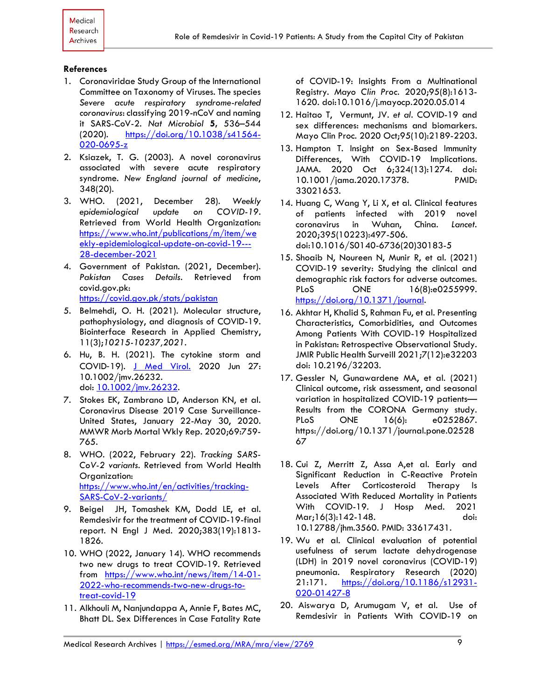#### **References**

- 1. Coronaviridae Study Group of the International Committee on Taxonomy of Viruses. The species *Severe acute respiratory syndrome-related coronavirus*: classifying 2019-nCoV and naming it SARS-CoV-2. *Nat Microbiol* **5,** 536–544 (2020). [https://doi.org/10.1038/s41564-](https://doi.org/10.1038/s41564-020-0695-z) [020-0695-z](https://doi.org/10.1038/s41564-020-0695-z)
- 2. Ksiazek, T. G. (2003). A novel coronavirus associated with severe acute respiratory syndrome. *New England journal of medicine*, 348(20).
- 3. WHO. (2021, December 28). *Weekly epidemiological update on COVID-19.* Retrieved from World Health Organization: [https://www.who.int/publications/m/item/we](https://www.who.int/publications/m/item/weekly-epidemiological-update-on-covid-19---28-december-2021) [ekly-epidemiological-update-on-covid-19---](https://www.who.int/publications/m/item/weekly-epidemiological-update-on-covid-19---28-december-2021) [28-december-2021](https://www.who.int/publications/m/item/weekly-epidemiological-update-on-covid-19---28-december-2021)
- 4. Government of Pakistan. (2021, December). *Pakistan Cases Details*. Retrieved from covid.gov.pk: <https://covid.gov.pk/stats/pakistan>
- 5. Belmehdi, O. H. (2021). Molecular structure, pathophysiology, and diagnosis of COVID-19. Biointerface Research in Applied Chemistry, 11(3);*10215-10237,2021.*
- 6. Hu, B. H. (2021). The cytokine storm and COVID‐19). [J Med Virol.](https://www.ncbi.nlm.nih.gov/pmc/articles/PMC7361342/) 2020 Jun 27: 10.1002/jmv.26232. doi: [10.1002/jmv.26232.](https://dx.doi.org/10.1002%2Fjmv.26232)
- 7. Stokes EK, Zambrano LD, Anderson KN, et al. Coronavirus Disease 2019 Case Surveillance-United States, January 22-May 30, 2020. MMWR Morb Mortal Wkly Rep. 2020;69:759- 765.
- 8. WHO. (2022, February 22). *Tracking SARS-CoV-2 variants*. Retrieved from World Health Organization: [https://www.who.int/en/activities/tracking-](https://www.who.int/en/activities/tracking-SARS-CoV-2-variants/)[SARS-CoV-2-variants/](https://www.who.int/en/activities/tracking-SARS-CoV-2-variants/)
- 9. Beigel JH, Tomashek KM, Dodd LE, et al. Remdesivir for the treatment of COVID-19-final report. N Engl J Med. 2020;383(19):1813- 1826.
- 10. WHO (2022, January 14). WHO recommends two new drugs to treat COVID-19. Retrieved from [https://www.who.int/news/item/14-01-](https://www.who.int/news/item/14-01-2022-who-recommends-two-new-drugs-to-treat-covid-19) [2022-who-recommends-two-new-drugs-to](https://www.who.int/news/item/14-01-2022-who-recommends-two-new-drugs-to-treat-covid-19)[treat-covid-19](https://www.who.int/news/item/14-01-2022-who-recommends-two-new-drugs-to-treat-covid-19)
- 11. Alkhouli M, Nanjundappa A, Annie F, Bates MC, Bhatt DL. Sex Differences in Case Fatality Rate

of COVID-19: Insights From a Multinational Registry. *Mayo Clin Proc*. 2020;95(8):1613- 1620. doi:10.1016/j.mayocp.2020.05.014

- 12. Haitao T, Vermunt, JV. *et al.* COVID-19 and sex differences: mechanisms and biomarkers. Mayo Clin Proc. 2020 Oct;95(10):2189-2203.
- 13. Hampton T. Insight on Sex-Based Immunity Differences, With COVID-19 Implications. JAMA. 2020 Oct 6;324(13):1274. doi: 10.1001/jama.2020.17378. PMID: 33021653.
- 14. Huang C, Wang Y, Li X, et al. Clinical features of patients infected with 2019 novel coronavirus in Wuhan, China. *Lancet*. 2020;395(10223):497-506. doi:10.1016/S0140-6736(20)30183-5
- 15. Shoaib N, Noureen N, Munir R, et al. (2021) COVID-19 severity: Studying the clinical and demographic risk factors for adverse outcomes. PLoS ONE 16(8):e0255999. [https://doi.org/10.1371/journal.](https://doi.org/10.1371/journal)
- 16. Akhtar H, Khalid S, Rahman Fu, et al. Presenting Characteristics, Comorbidities, and Outcomes Among Patients With COVID-19 Hospitalized in Pakistan: Retrospective Observational Study. JMIR Public Health Surveill 2021;7(12):e32203 doi: 10.2196/32203.
- 17. Gessler N, Gunawardene MA, et al. (2021) Clinical outcome, risk assessment, and seasonal variation in hospitalized COVID-19 patients— Results from the CORONA Germany study. PLoS ONE 16(6): e0252867. https://doi.org/10.1371/journal.pone.02528 67
- 18. Cui Z, Merritt Z, Assa A,et al. Early and Significant Reduction in C-Reactive Protein Levels After Corticosteroid Therapy Is Associated With Reduced Mortality in Patients With COVID-19. J Hosp Med. 2021 Mar;16(3):142-148. doi: 10.12788/jhm.3560. PMID: 33617431.
- 19. Wu et al. Clinical evaluation of potential usefulness of serum lactate dehydrogenase (LDH) in 2019 novel coronavirus (COVID-19) pneumonia. Respiratory Research (2020) 21:171. [https://doi.org/10.1186/s12931-](https://doi.org/10.1186/s12931-020-01427-8) [020-01427-8](https://doi.org/10.1186/s12931-020-01427-8)
- 20. Aiswarya D, Arumugam V, et al. Use of Remdesivir in Patients With COVID-19 on